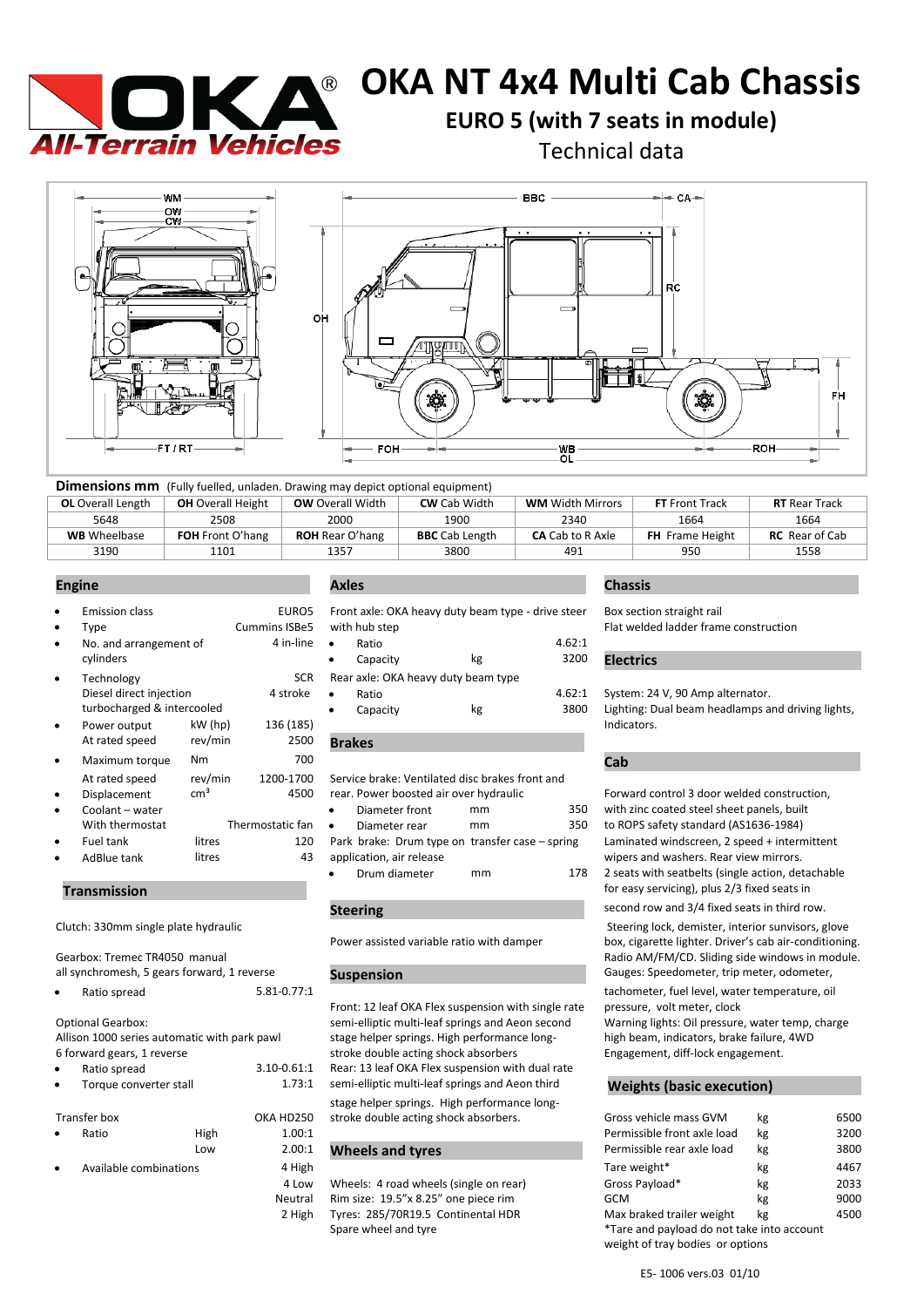

# **OKA NT 4x4 Multi Cab Chassis**

**EURO 5 (with 7 seats in module)** 

Technical data



| <b>Dimensions mm</b> (Fully fuelled, unladen. Drawing may depict optional equipment) |                          |                         |                       |                         |                        |                       |  |
|--------------------------------------------------------------------------------------|--------------------------|-------------------------|-----------------------|-------------------------|------------------------|-----------------------|--|
| <b>OL</b> Overall Length                                                             | <b>OH</b> Overall Height | <b>OW</b> Overall Width | <b>CW</b> Cab Width   | <b>WM</b> Width Mirrors | <b>FT</b> Front Track  | <b>RT</b> Rear Track  |  |
| 5648                                                                                 | 2508                     | 2000                    | 1900                  | 2340                    | 1664                   | 1664                  |  |
| <b>WB</b> Wheelbase                                                                  | <b>FOH</b> Front O'hang  | <b>ROH</b> Rear O'hang  | <b>BBC</b> Cab Length | <b>CA</b> Cab to R Axle | <b>FH</b> Frame Height | <b>RC</b> Rear of Cab |  |
| 3190                                                                                 | 1101                     | 1357                    | 3800                  | 491                     | 950                    | 1558                  |  |

| $\bullet$ | <b>Emission class</b>      |                 | EURO5                | Front axle: OKA heavy duty beam type - drive steer |    |        | Box section straight rail                         |
|-----------|----------------------------|-----------------|----------------------|----------------------------------------------------|----|--------|---------------------------------------------------|
| ٠         | Type                       |                 | <b>Cummins ISBe5</b> | with hub step                                      |    |        | Flat welded ladder frame construction             |
| $\bullet$ | No. and arrangement of     |                 | 4 in-line            | Ratio                                              |    | 4.62:1 |                                                   |
|           | cylinders                  |                 |                      | Capacity                                           | kg | 3200   | <b>Electrics</b>                                  |
| $\bullet$ | Technology                 |                 | <b>SCR</b>           | Rear axle: OKA heavy duty beam type                |    |        |                                                   |
|           | Diesel direct injection    |                 | 4 stroke             | Ratio<br>٠                                         |    | 4.62:1 | System: 24 V, 90 Amp alternator.                  |
|           | turbocharged & intercooled |                 |                      | Capacity<br>٠                                      | kg | 3800   | Lighting: Dual beam headlamps and driving lights, |
| $\bullet$ | Power output               | kW (hp)         | 136 (185)            |                                                    |    |        | Indicators.                                       |
|           | At rated speed             | rev/min         | 2500                 | <b>Brakes</b>                                      |    |        |                                                   |
| $\bullet$ | Maximum torque             | N <sub>m</sub>  | 700                  |                                                    |    |        | Cab                                               |
|           | At rated speed             | rev/min         | 1200-1700            | Service brake: Ventilated disc brakes front and    |    |        |                                                   |
| $\bullet$ | Displacement               | cm <sup>3</sup> | 4500                 | rear. Power boosted air over hydraulic             |    |        | Forward control 3 door welded construction,       |
| $\bullet$ | Coolant - water            |                 |                      | Diameter front<br>٠                                | mm | 350    | with zinc coated steel sheet panels, built        |
|           | With thermostat            |                 | Thermostatic fan     | Diameter rear<br>$\bullet$                         | mm | 350    | to ROPS safety standard (AS1636-1984)             |
| $\bullet$ | Fuel tank                  | litres          | 120                  | Park brake: Drum type on transfer case - spring    |    |        | Laminated windscreen, 2 speed + intermittent      |
| ٠         | AdBlue tank                | litres          | 43                   | application, air release                           |    |        | wipers and washers. Rear view mirrors.            |

# **Transmission** .

| Gearbox: Tremec TR4050 manual               |  |
|---------------------------------------------|--|
| all synchromesh, 5 gears forward, 1 reverse |  |
|                                             |  |

| Ratio spread | $5.81 - 0.77:1$ |
|--------------|-----------------|
|              |                 |

Optional Gearbox: Allison 1000 series automatic with park pawl 6 forward gears, 1 reverse

| Ratio spread           | $3.10 - 0.61$ |
|------------------------|---------------|
| Torque converter stall | 1.73:         |

|           | Transfer box           |      | OKA HD25 |
|-----------|------------------------|------|----------|
| $\bullet$ | Ratio                  | High | 1.00:    |
|           |                        | l ow | 2.00:    |
| $\bullet$ | Available combinations |      | 4 Hig    |

|                     |                          | EURO5 Front axle: OKA heavy duty beam type - drive steer |        |
|---------------------|--------------------------|----------------------------------------------------------|--------|
|                     | ns ISBe5   with hub step |                                                          |        |
| 4 in-line $\bullet$ | Ratio                    |                                                          | 4.62:1 |
|                     | Canacity                 | kσ                                                       | ววกก   |

|             | • Capacity                          | kg | 3200    | <b>Electrics</b>                                 |
|-------------|-------------------------------------|----|---------|--------------------------------------------------|
|             | Rear axle: OKA heavy duty beam type |    |         |                                                  |
| ٠           | Ratio                               |    |         | 4.62:1 System: 24 V, 90 Amp alternator.          |
| $\bullet$ . | Canacity                            | vσ | 3800. L | Lighting: Dual heam headlamns and driving lights |

| $\bullet$ | Diameter front                                  | mm | 350 |
|-----------|-------------------------------------------------|----|-----|
| $\bullet$ | Diameter rear                                   | mm | 350 |
|           | Park brake: Drum type on transfer case – spring |    |     |
|           | application, air release                        |    |     |
| $\bullet$ | Drum diameter                                   | mm | 178 |

### **Steering .**

Front: 12 leaf OKA Flex suspension with single rate pressure, volt meter, clock semi-elliptic multi-leaf springs and Aeon second Warning lights: Oil pressure, water temp, charge stage helper springs. High performance long- high beam, indicators, brake failure, 4WD stroke double acting shock absorbers Engagement, diff-lock engagement. :1 Rear: 13 leaf OKA Flex suspension with dual rate 1 semi-elliptic multi-leaf springs and Aeon third **Weights (basic execution)** stage helper springs. High performance long-50 stroke double acting shock absorbers.

### <sup>:1</sup> Wheels and tyres

### **Engine . Axles . Chassis .**

Box section straight rail

with zinc coated steel sheet panels, built to ROPS safety standard (AS1636-1984) Laminated windscreen, 2 speed + intermittent wipers and washers. Rear view mirrors. 2 seats with seatbelts (single action, detachable for easy servicing), plus 2/3 fixed seats in

second row and 3/4 fixed seats in third row.

Clutch: 330mm single plate hydraulic Clutch: 330mm single plate hydraulic Steering lock, demister, interior sunvisors, glove<br>Power assisted variable ratio with damper box, cigarette lighter. Driver's cab air-conditionin box, cigarette lighter. Driver's cab air-conditioning. Radio AM/FM/CD. Sliding side windows in module. **Suspension Suspension Suspension Suspension Suspension ...** Gauges: Speedometer, trip meter, odometer,  $\frac{1}{2}$ 

tachometer, fuel level, water temperature, oil

|                                     | Transfer box |      | OKA HD250 | stroke double acting shock absorbers.  | Gross vehicle mass GVM                                                         | kg | 6500 |
|-------------------------------------|--------------|------|-----------|----------------------------------------|--------------------------------------------------------------------------------|----|------|
|                                     | Ratio        | High | 1.00:1    |                                        | Permissible front axle load                                                    | kg | 3200 |
|                                     |              | Low  | 2.00:1    | <b>Wheels and tyres</b>                | Permissible rear axle load                                                     | kg | 3800 |
| Available combinations<br>$\bullet$ |              |      | 4 High    |                                        | Tare weight*                                                                   | kg | 4467 |
|                                     |              |      | 4 Low     | Wheels: 4 road wheels (single on rear) | Gross Payload*                                                                 | kg | 2033 |
|                                     |              |      | Neutral   | Rim size: 19.5"x 8.25" one piece rim   | GCM                                                                            | kg | 9000 |
|                                     |              |      | 2 High    | Tyres: 285/70R19.5 Continental HDR     | Max braked trailer weight                                                      | kg | 4500 |
|                                     |              |      |           | Spare wheel and tyre                   | *Tare and payload do not take into account<br>weight of tray bodies or options |    |      |